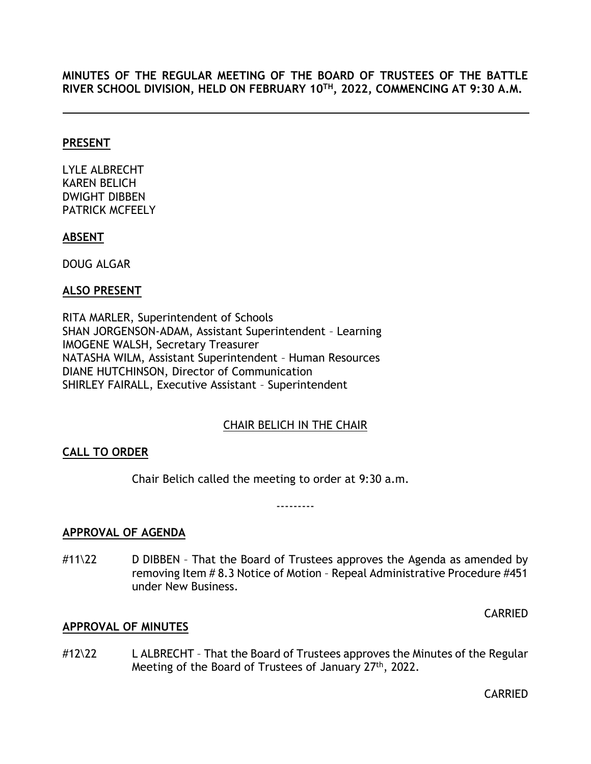**MINUTES OF THE REGULAR MEETING OF THE BOARD OF TRUSTEES OF THE BATTLE RIVER SCHOOL DIVISION, HELD ON FEBRUARY 10TH, 2022, COMMENCING AT 9:30 A.M.**

### **PRESENT**

LYLE ALBRECHT KAREN BELICH DWIGHT DIBBEN PATRICK MCFEELY

#### **ABSENT**

DOUG ALGAR

## **ALSO PRESENT**

RITA MARLER, Superintendent of Schools SHAN JORGENSON-ADAM, Assistant Superintendent – Learning IMOGENE WALSH, Secretary Treasurer NATASHA WILM, Assistant Superintendent – Human Resources DIANE HUTCHINSON, Director of Communication SHIRLEY FAIRALL, Executive Assistant – Superintendent

## CHAIR BELICH IN THE CHAIR

## <span id="page-0-0"></span>**CALL TO ORDER**

Chair Belich called the meeting to order at 9:30 a.m.

---------

## <span id="page-0-1"></span>**APPROVAL OF AGENDA**

 $\#11\$ 22 D DIBBEN - That the Board of Trustees approves the Agenda as amended by removing Item # 8.3 Notice of Motion – Repeal Administrative Procedure #451 under New Business.

CARRIED

## <span id="page-0-2"></span>**APPROVAL OF MINUTES**

#12\22 L ALBRECHT – That the Board of Trustees approves the Minutes of the Regular Meeting of the Board of Trustees of January 27<sup>th</sup>, 2022.

CARRIED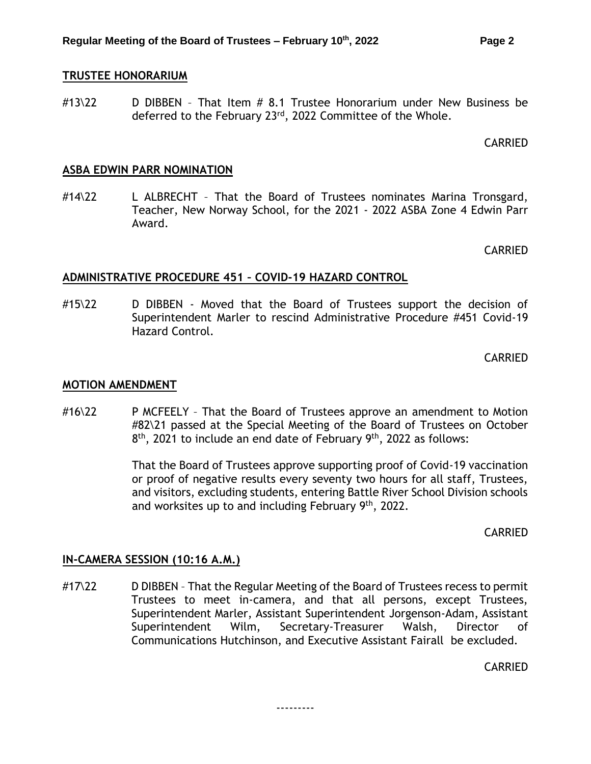#### <span id="page-1-0"></span>**TRUSTEE HONORARIUM**

#13\22 D DIBBEN - That Item # 8.1 Trustee Honorarium under New Business be deferred to the February 23<sup>rd</sup>, 2022 Committee of the Whole.

#### CARRIED

#### <span id="page-1-1"></span>**ASBA EDWIN PARR NOMINATION**

#14\22 L ALBRECHT – That the Board of Trustees nominates Marina Tronsgard, Teacher, New Norway School, for the 2021 - 2022 ASBA Zone 4 Edwin Parr Award.

CARRIED

## <span id="page-1-2"></span>**ADMINISTRATIVE PROCEDURE 451 – COVID-19 HAZARD CONTROL**

#15\22 D DIBBEN - Moved that the Board of Trustees support the decision of Superintendent Marler to rescind Administrative Procedure #451 Covid-19 Hazard Control.

CARRIED

#### <span id="page-1-3"></span>**MOTION AMENDMENT**

#16\22 P MCFEELY – That the Board of Trustees approve an amendment to Motion #82\21 passed at the Special Meeting of the Board of Trustees on October 8<sup>th</sup>, 2021 to include an end date of February 9<sup>th</sup>, 2022 as follows:

> That the Board of Trustees approve supporting proof of Covid-19 vaccination or proof of negative results every seventy two hours for all staff, Trustees, and visitors, excluding students, entering Battle River School Division schools and worksites up to and including February 9th, 2022.

> > CARRIED

#### **IN-CAMERA SESSION (10:16 A.M.)**

#17\22 D DIBBEN - That the Regular Meeting of the Board of Trustees recess to permit Trustees to meet in-camera, and that all persons, except Trustees, Superintendent Marler, Assistant Superintendent Jorgenson-Adam, Assistant Superintendent Wilm, Secretary-Treasurer Walsh, Director of Communications Hutchinson, and Executive Assistant Fairall be excluded.

---------

CARRIED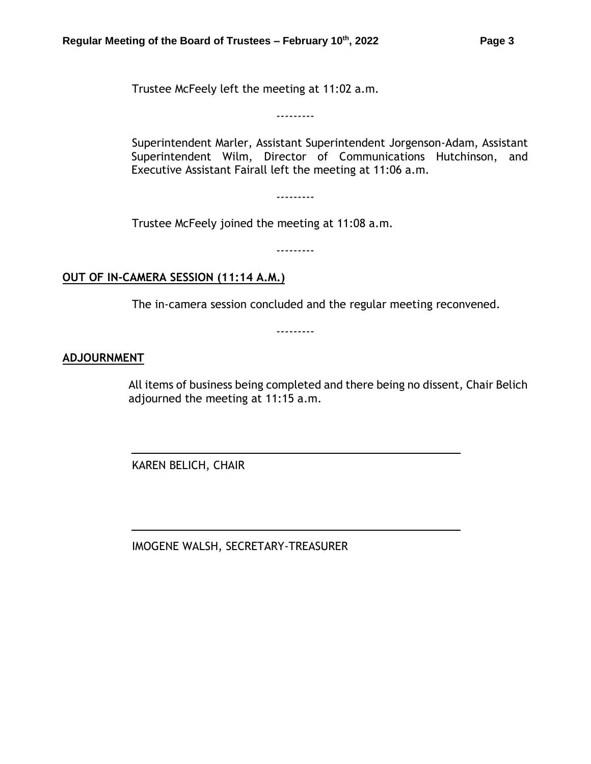Trustee McFeely left the meeting at 11:02 a.m.

Superintendent Marler, Assistant Superintendent Jorgenson-Adam, Assistant Superintendent Wilm, Director of Communications Hutchinson, and Executive Assistant Fairall left the meeting at 11:06 a.m.

---------

---------

Trustee McFeely joined the meeting at 11:08 a.m.

---------

## **OUT OF IN-CAMERA SESSION (11:14 A.M.)**

The in-camera session concluded and the regular meeting reconvened.

---------

## **ADJOURNMENT**

All items of business being completed and there being no dissent, Chair Belich adjourned the meeting at 11:15 a.m.

KAREN BELICH, CHAIR

IMOGENE WALSH, SECRETARY-TREASURER